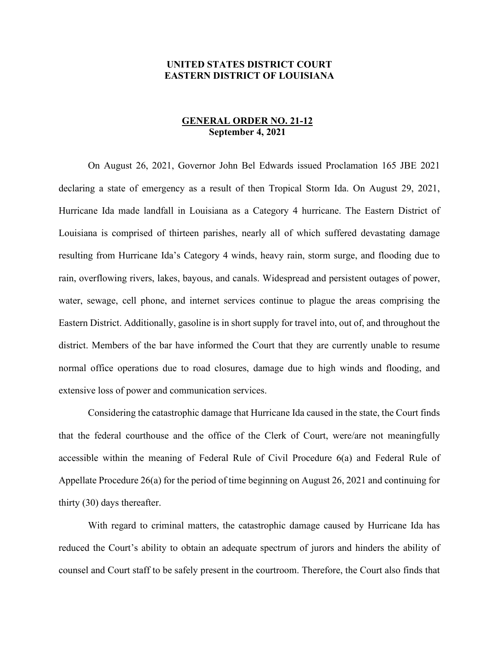## **UNITED STATES DISTRICT COURT EASTERN DISTRICT OF LOUISIANA**

## **GENERAL ORDER NO. 21-12 September 4, 2021**

On August 26, 2021, Governor John Bel Edwards issued Proclamation 165 JBE 2021 declaring a state of emergency as a result of then Tropical Storm Ida. On August 29, 2021, Hurricane Ida made landfall in Louisiana as a Category 4 hurricane. The Eastern District of Louisiana is comprised of thirteen parishes, nearly all of which suffered devastating damage resulting from Hurricane Ida's Category 4 winds, heavy rain, storm surge, and flooding due to rain, overflowing rivers, lakes, bayous, and canals. Widespread and persistent outages of power, water, sewage, cell phone, and internet services continue to plague the areas comprising the Eastern District. Additionally, gasoline is in short supply for travel into, out of, and throughout the district. Members of the bar have informed the Court that they are currently unable to resume normal office operations due to road closures, damage due to high winds and flooding, and extensive loss of power and communication services.

Considering the catastrophic damage that Hurricane Ida caused in the state, the Court finds that the federal courthouse and the office of the Clerk of Court, were/are not meaningfully accessible within the meaning of Federal Rule of Civil Procedure 6(a) and Federal Rule of Appellate Procedure 26(a) for the period of time beginning on August 26, 2021 and continuing for thirty (30) days thereafter.

With regard to criminal matters, the catastrophic damage caused by Hurricane Ida has reduced the Court's ability to obtain an adequate spectrum of jurors and hinders the ability of counsel and Court staff to be safely present in the courtroom. Therefore, the Court also finds that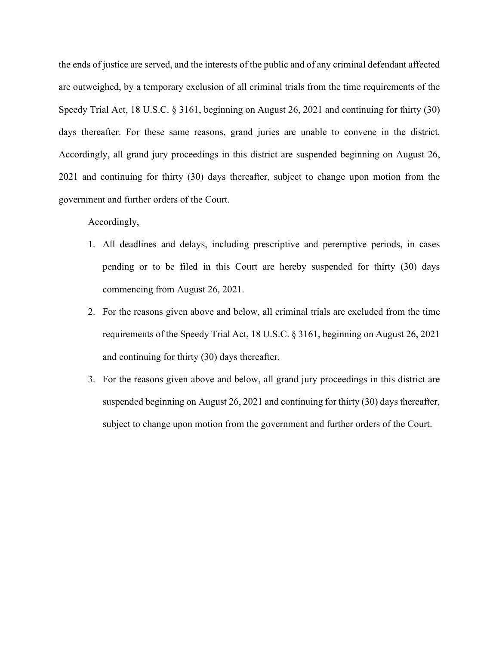the ends of justice are served, and the interests of the public and of any criminal defendant affected are outweighed, by a temporary exclusion of all criminal trials from the time requirements of the Speedy Trial Act, 18 U.S.C. § 3161, beginning on August 26, 2021 and continuing for thirty (30) days thereafter. For these same reasons, grand juries are unable to convene in the district. Accordingly, all grand jury proceedings in this district are suspended beginning on August 26, 2021 and continuing for thirty (30) days thereafter, subject to change upon motion from the government and further orders of the Court.

## Accordingly,

- 1. All deadlines and delays, including prescriptive and peremptive periods, in cases pending or to be filed in this Court are hereby suspended for thirty (30) days commencing from August 26, 2021.
- 2. For the reasons given above and below, all criminal trials are excluded from the time requirements of the Speedy Trial Act, 18 U.S.C. § 3161, beginning on August 26, 2021 and continuing for thirty (30) days thereafter.
- 3. For the reasons given above and below, all grand jury proceedings in this district are suspended beginning on August 26, 2021 and continuing for thirty (30) days thereafter, subject to change upon motion from the government and further orders of the Court.